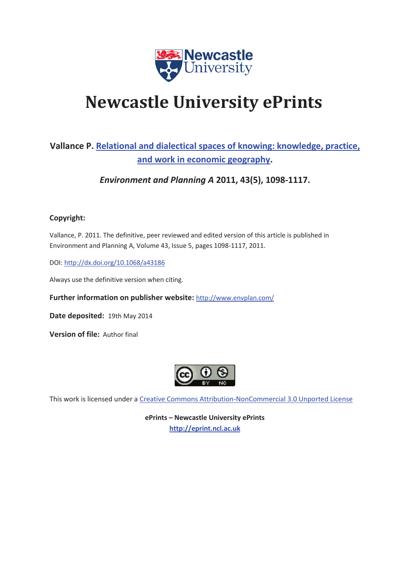

# **Newcastle University ePrints**

### **Vallance P. Relational and dialectical spaces of knowing: knowledge, practice, and work in economic geography.**

*Environment and Planning A* **2011, 43(5), 1098-1117.** 

#### **Copyright:**

Vallance, P. 2011. The definitive, peer reviewed and edited version of this article is published in Environment and Planning A, Volume 43, Issue 5, pages 1098-1117, 2011.

DOI: http://dx.doi.org/10.1068/a43186

Always use the definitive version when citing.

**Further information on publisher website:** http://www.envplan.com/

**Date deposited:** 19th May 2014

**Version of file: Author final** 



This work is licensed under a Creative Commons Attribution-NonCommercial 3.0 Unported License

**ePrints – Newcastle University ePrints http://eprint.ncl.ac.uk**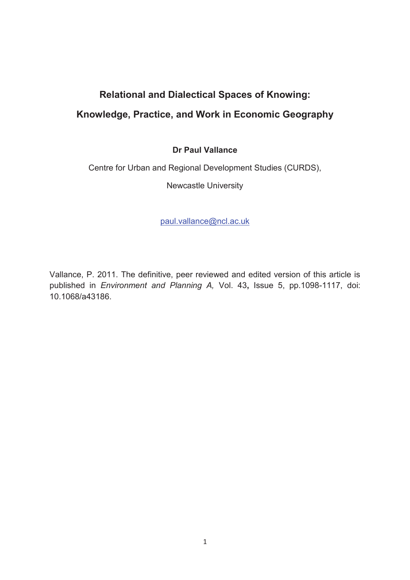## **Relational and Dialectical Spaces of Knowing: Knowledge, Practice, and Work in Economic Geography**

#### **Dr Paul Vallance**

Centre for Urban and Regional Development Studies (CURDS),

Newcastle University

paul.vallance@ncl.ac.uk

Vallance, P. 2011. The definitive, peer reviewed and edited version of this article is published in *Environment and Planning A,* Vol. 43**,** Issue 5, pp.1098-1117, doi: 10.1068/a43186.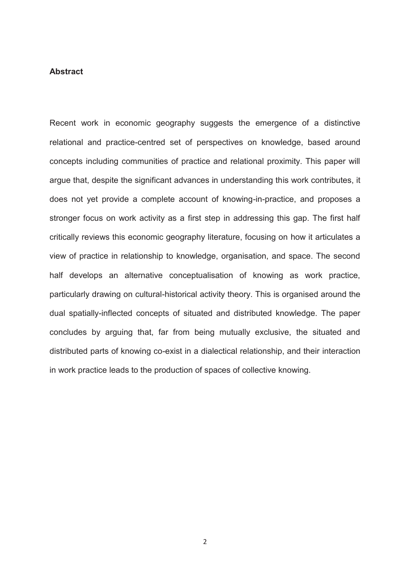#### **Abstract**

Recent work in economic geography suggests the emergence of a distinctive relational and practice-centred set of perspectives on knowledge, based around concepts including communities of practice and relational proximity. This paper will argue that, despite the significant advances in understanding this work contributes, it does not yet provide a complete account of knowing-in-practice, and proposes a stronger focus on work activity as a first step in addressing this gap. The first half critically reviews this economic geography literature, focusing on how it articulates a view of practice in relationship to knowledge, organisation, and space. The second half develops an alternative conceptualisation of knowing as work practice, particularly drawing on cultural-historical activity theory. This is organised around the dual spatially-inflected concepts of situated and distributed knowledge. The paper concludes by arguing that, far from being mutually exclusive, the situated and distributed parts of knowing co-exist in a dialectical relationship, and their interaction in work practice leads to the production of spaces of collective knowing.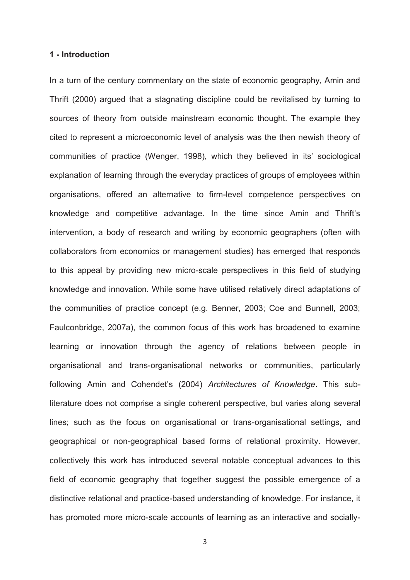#### **1 - Introduction**

In a turn of the century commentary on the state of economic geography, Amin and Thrift (2000) argued that a stagnating discipline could be revitalised by turning to sources of theory from outside mainstream economic thought. The example they cited to represent a microeconomic level of analysis was the then newish theory of communities of practice (Wenger, 1998), which they believed in its' sociological explanation of learning through the everyday practices of groups of employees within organisations, offered an alternative to firm-level competence perspectives on knowledge and competitive advantage. In the time since Amin and Thrift's intervention, a body of research and writing by economic geographers (often with collaborators from economics or management studies) has emerged that responds to this appeal by providing new micro-scale perspectives in this field of studying knowledge and innovation. While some have utilised relatively direct adaptations of the communities of practice concept (e.g. Benner, 2003; Coe and Bunnell, 2003; Faulconbridge, 2007a), the common focus of this work has broadened to examine learning or innovation through the agency of relations between people in organisational and trans-organisational networks or communities, particularly following Amin and Cohendet's (2004) *Architectures of Knowledge*. This subliterature does not comprise a single coherent perspective, but varies along several lines; such as the focus on organisational or trans-organisational settings, and geographical or non-geographical based forms of relational proximity. However, collectively this work has introduced several notable conceptual advances to this field of economic geography that together suggest the possible emergence of a distinctive relational and practice-based understanding of knowledge. For instance, it has promoted more micro-scale accounts of learning as an interactive and socially-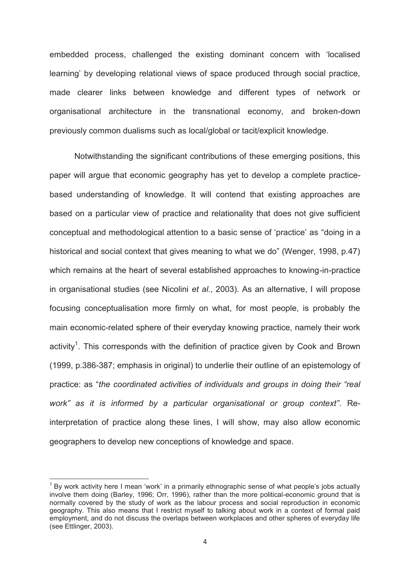embedded process, challenged the existing dominant concern with 'localised learning' by developing relational views of space produced through social practice, made clearer links between knowledge and different types of network or organisational architecture in the transnational economy, and broken-down previously common dualisms such as local/global or tacit/explicit knowledge.

Notwithstanding the significant contributions of these emerging positions, this paper will argue that economic geography has yet to develop a complete practicebased understanding of knowledge. It will contend that existing approaches are based on a particular view of practice and relationality that does not give sufficient conceptual and methodological attention to a basic sense of 'practice' as "doing in a historical and social context that gives meaning to what we do" (Wenger, 1998, p.47) which remains at the heart of several established approaches to knowing-in-practice in organisational studies (see Nicolini *et al.*, 2003). As an alternative, I will propose focusing conceptualisation more firmly on what, for most people, is probably the main economic-related sphere of their everyday knowing practice, namely their work activity<sup>1</sup>. This corresponds with the definition of practice given by Cook and Brown (1999, p.386-387; emphasis in original) to underlie their outline of an epistemology of practice: as "*the coordinated activities of individuals and groups in doing their "real work" as it is informed by a particular organisational or group context"*. Reinterpretation of practice along these lines, I will show, may also allow economic geographers to develop new conceptions of knowledge and space.

 $\overline{a}$ 

<sup>1</sup> By work activity here I mean 'work' in a primarily ethnographic sense of what people's jobs actually involve them doing (Barley, 1996; Orr, 1996), rather than the more political-economic ground that is normally covered by the study of work as the labour process and social reproduction in economic geography. This also means that I restrict myself to talking about work in a context of formal paid employment, and do not discuss the overlaps between workplaces and other spheres of everyday life (see Ettlinger, 2003).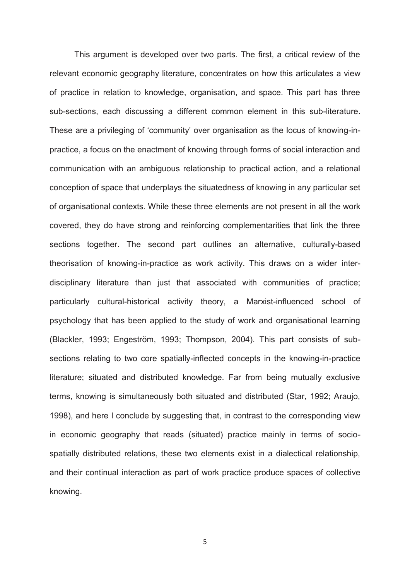This argument is developed over two parts. The first, a critical review of the relevant economic geography literature, concentrates on how this articulates a view of practice in relation to knowledge, organisation, and space. This part has three sub-sections, each discussing a different common element in this sub-literature. These are a privileging of 'community' over organisation as the locus of knowing-inpractice, a focus on the enactment of knowing through forms of social interaction and communication with an ambiguous relationship to practical action, and a relational conception of space that underplays the situatedness of knowing in any particular set of organisational contexts. While these three elements are not present in all the work covered, they do have strong and reinforcing complementarities that link the three sections together. The second part outlines an alternative, culturally-based theorisation of knowing-in-practice as work activity. This draws on a wider interdisciplinary literature than just that associated with communities of practice; particularly cultural-historical activity theory, a Marxist-influenced school of psychology that has been applied to the study of work and organisational learning (Blackler, 1993; Engeström, 1993; Thompson, 2004). This part consists of subsections relating to two core spatially-inflected concepts in the knowing-in-practice literature; situated and distributed knowledge. Far from being mutually exclusive terms, knowing is simultaneously both situated and distributed (Star, 1992; Araujo, 1998), and here I conclude by suggesting that, in contrast to the corresponding view in economic geography that reads (situated) practice mainly in terms of sociospatially distributed relations, these two elements exist in a dialectical relationship, and their continual interaction as part of work practice produce spaces of collective knowing.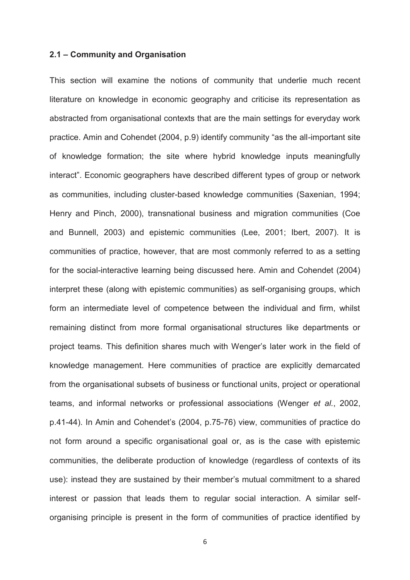#### **2.1 – Community and Organisation**

This section will examine the notions of community that underlie much recent literature on knowledge in economic geography and criticise its representation as abstracted from organisational contexts that are the main settings for everyday work practice. Amin and Cohendet (2004, p.9) identify community "as the all-important site of knowledge formation; the site where hybrid knowledge inputs meaningfully interact". Economic geographers have described different types of group or network as communities, including cluster-based knowledge communities (Saxenian, 1994; Henry and Pinch, 2000), transnational business and migration communities (Coe and Bunnell, 2003) and epistemic communities (Lee, 2001; Ibert, 2007). It is communities of practice, however, that are most commonly referred to as a setting for the social-interactive learning being discussed here. Amin and Cohendet (2004) interpret these (along with epistemic communities) as self-organising groups, which form an intermediate level of competence between the individual and firm, whilst remaining distinct from more formal organisational structures like departments or project teams. This definition shares much with Wenger's later work in the field of knowledge management. Here communities of practice are explicitly demarcated from the organisational subsets of business or functional units, project or operational teams, and informal networks or professional associations (Wenger *et al.*, 2002, p.41-44). In Amin and Cohendet's (2004, p.75-76) view, communities of practice do not form around a specific organisational goal or, as is the case with epistemic communities, the deliberate production of knowledge (regardless of contexts of its use): instead they are sustained by their member's mutual commitment to a shared interest or passion that leads them to regular social interaction. A similar selforganising principle is present in the form of communities of practice identified by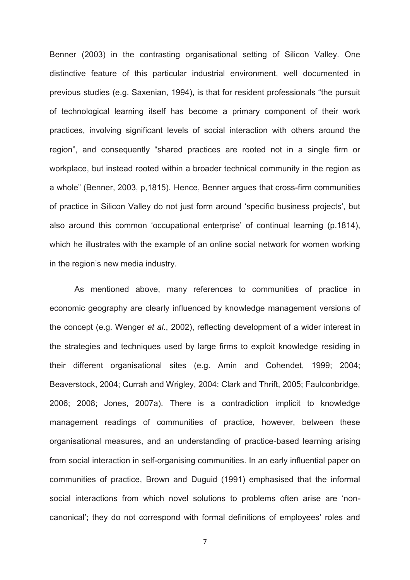Benner (2003) in the contrasting organisational setting of Silicon Valley. One distinctive feature of this particular industrial environment, well documented in previous studies (e.g. Saxenian, 1994), is that for resident professionals "the pursuit of technological learning itself has become a primary component of their work practices, involving significant levels of social interaction with others around the region", and consequently "shared practices are rooted not in a single firm or workplace, but instead rooted within a broader technical community in the region as a whole" (Benner, 2003, p,1815). Hence, Benner argues that cross-firm communities of practice in Silicon Valley do not just form around 'specific business projects', but also around this common 'occupational enterprise' of continual learning (p.1814), which he illustrates with the example of an online social network for women working in the region's new media industry.

As mentioned above, many references to communities of practice in economic geography are clearly influenced by knowledge management versions of the concept (e.g. Wenger *et al.*, 2002), reflecting development of a wider interest in the strategies and techniques used by large firms to exploit knowledge residing in their different organisational sites (e.g. Amin and Cohendet, 1999; 2004; Beaverstock, 2004; Currah and Wrigley, 2004; Clark and Thrift, 2005; Faulconbridge, 2006; 2008; Jones, 2007a). There is a contradiction implicit to knowledge management readings of communities of practice, however, between these organisational measures, and an understanding of practice-based learning arising from social interaction in self-organising communities. In an early influential paper on communities of practice, Brown and Duguid (1991) emphasised that the informal social interactions from which novel solutions to problems often arise are 'noncanonical'; they do not correspond with formal definitions of employees' roles and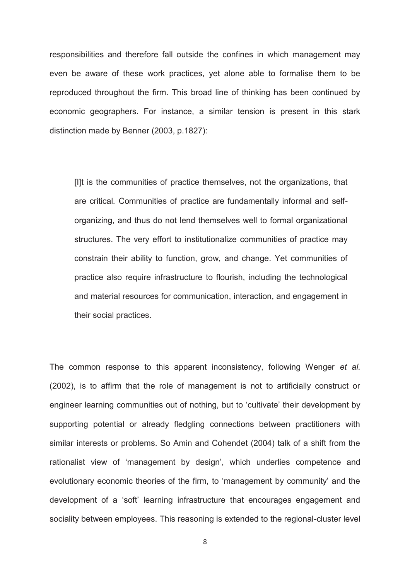responsibilities and therefore fall outside the confines in which management may even be aware of these work practices, yet alone able to formalise them to be reproduced throughout the firm. This broad line of thinking has been continued by economic geographers. For instance, a similar tension is present in this stark distinction made by Benner (2003, p.1827):

[I]t is the communities of practice themselves, not the organizations, that are critical*.* Communities of practice are fundamentally informal and selforganizing, and thus do not lend themselves well to formal organizational structures. The very effort to institutionalize communities of practice may constrain their ability to function, grow, and change. Yet communities of practice also require infrastructure to flourish, including the technological and material resources for communication, interaction, and engagement in their social practices.

The common response to this apparent inconsistency, following Wenger *et al.*  (2002), is to affirm that the role of management is not to artificially construct or engineer learning communities out of nothing, but to 'cultivate' their development by supporting potential or already fledgling connections between practitioners with similar interests or problems. So Amin and Cohendet (2004) talk of a shift from the rationalist view of 'management by design', which underlies competence and evolutionary economic theories of the firm, to 'management by community' and the development of a 'soft' learning infrastructure that encourages engagement and sociality between employees. This reasoning is extended to the regional-cluster level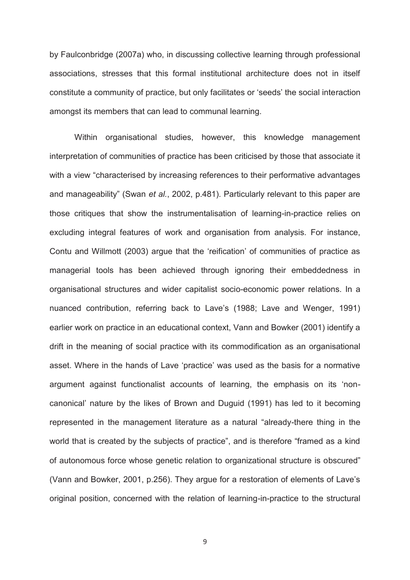by Faulconbridge (2007a) who, in discussing collective learning through professional associations, stresses that this formal institutional architecture does not in itself constitute a community of practice, but only facilitates or 'seeds' the social interaction amongst its members that can lead to communal learning.

 Within organisational studies, however, this knowledge management interpretation of communities of practice has been criticised by those that associate it with a view "characterised by increasing references to their performative advantages and manageability" (Swan *et al.*, 2002, p.481). Particularly relevant to this paper are those critiques that show the instrumentalisation of learning-in-practice relies on excluding integral features of work and organisation from analysis. For instance, Contu and Willmott (2003) argue that the 'reification' of communities of practice as managerial tools has been achieved through ignoring their embeddedness in organisational structures and wider capitalist socio-economic power relations. In a nuanced contribution, referring back to Lave's (1988; Lave and Wenger, 1991) earlier work on practice in an educational context, Vann and Bowker (2001) identify a drift in the meaning of social practice with its commodification as an organisational asset. Where in the hands of Lave 'practice' was used as the basis for a normative argument against functionalist accounts of learning, the emphasis on its 'noncanonical' nature by the likes of Brown and Duguid (1991) has led to it becoming represented in the management literature as a natural "already-there thing in the world that is created by the subjects of practice", and is therefore "framed as a kind of autonomous force whose genetic relation to organizational structure is obscured" (Vann and Bowker, 2001, p.256). They argue for a restoration of elements of Lave's original position, concerned with the relation of learning-in-practice to the structural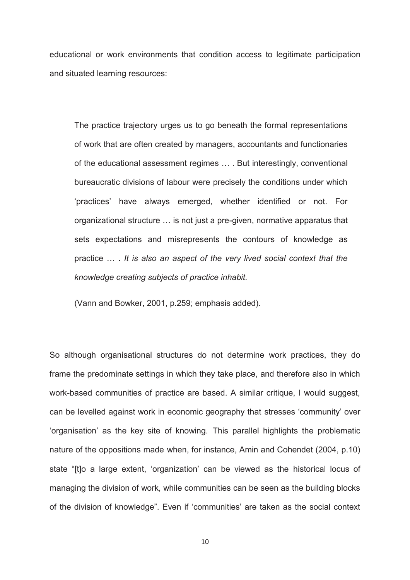educational or work environments that condition access to legitimate participation and situated learning resources:

The practice trajectory urges us to go beneath the formal representations of work that are often created by managers, accountants and functionaries of the educational assessment regimes … . But interestingly, conventional bureaucratic divisions of labour were precisely the conditions under which 'practices' have always emerged, whether identified or not. For organizational structure … is not just a pre-given, normative apparatus that sets expectations and misrepresents the contours of knowledge as practice … . *It is also an aspect of the very lived social context that the knowledge creating subjects of practice inhabit.*

(Vann and Bowker, 2001, p.259; emphasis added).

So although organisational structures do not determine work practices, they do frame the predominate settings in which they take place, and therefore also in which work-based communities of practice are based. A similar critique, I would suggest, can be levelled against work in economic geography that stresses 'community' over 'organisation' as the key site of knowing. This parallel highlights the problematic nature of the oppositions made when, for instance, Amin and Cohendet (2004, p.10) state "[t]o a large extent, 'organization' can be viewed as the historical locus of managing the division of work, while communities can be seen as the building blocks of the division of knowledge". Even if 'communities' are taken as the social context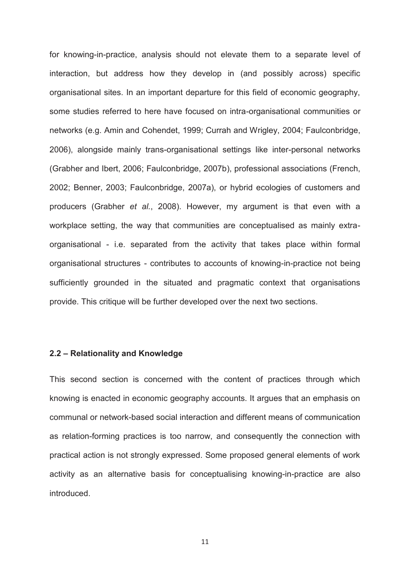for knowing-in-practice, analysis should not elevate them to a separate level of interaction, but address how they develop in (and possibly across) specific organisational sites. In an important departure for this field of economic geography, some studies referred to here have focused on intra-organisational communities or networks (e.g. Amin and Cohendet, 1999; Currah and Wrigley, 2004; Faulconbridge, 2006), alongside mainly trans-organisational settings like inter-personal networks (Grabher and Ibert, 2006; Faulconbridge, 2007b), professional associations (French, 2002; Benner, 2003; Faulconbridge, 2007a), or hybrid ecologies of customers and producers (Grabher *et al.*, 2008). However, my argument is that even with a workplace setting, the way that communities are conceptualised as mainly extraorganisational - i.e. separated from the activity that takes place within formal organisational structures - contributes to accounts of knowing-in-practice not being sufficiently grounded in the situated and pragmatic context that organisations provide. This critique will be further developed over the next two sections.

#### **2.2 – Relationality and Knowledge**

This second section is concerned with the content of practices through which knowing is enacted in economic geography accounts. It argues that an emphasis on communal or network-based social interaction and different means of communication as relation-forming practices is too narrow, and consequently the connection with practical action is not strongly expressed. Some proposed general elements of work activity as an alternative basis for conceptualising knowing-in-practice are also introduced.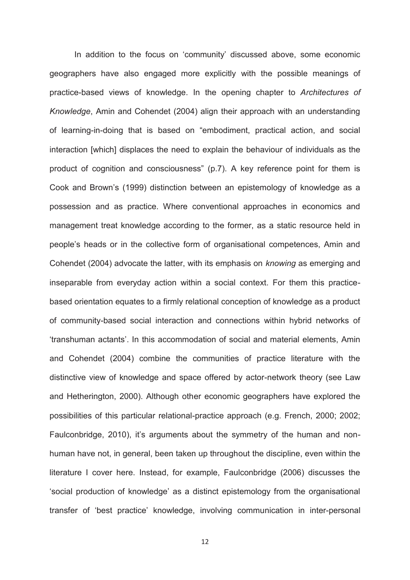In addition to the focus on 'community' discussed above, some economic geographers have also engaged more explicitly with the possible meanings of practice-based views of knowledge. In the opening chapter to *Architectures of Knowledge*, Amin and Cohendet (2004) align their approach with an understanding of learning-in-doing that is based on "embodiment, practical action, and social interaction [which] displaces the need to explain the behaviour of individuals as the product of cognition and consciousness" (p.7). A key reference point for them is Cook and Brown's (1999) distinction between an epistemology of knowledge as a possession and as practice. Where conventional approaches in economics and management treat knowledge according to the former, as a static resource held in people's heads or in the collective form of organisational competences, Amin and Cohendet (2004) advocate the latter, with its emphasis on *knowing* as emerging and inseparable from everyday action within a social context. For them this practicebased orientation equates to a firmly relational conception of knowledge as a product of community-based social interaction and connections within hybrid networks of 'transhuman actants'. In this accommodation of social and material elements, Amin and Cohendet (2004) combine the communities of practice literature with the distinctive view of knowledge and space offered by actor-network theory (see Law and Hetherington, 2000). Although other economic geographers have explored the possibilities of this particular relational-practice approach (e.g. French, 2000; 2002; Faulconbridge, 2010), it's arguments about the symmetry of the human and nonhuman have not, in general, been taken up throughout the discipline, even within the literature I cover here. Instead, for example, Faulconbridge (2006) discusses the 'social production of knowledge' as a distinct epistemology from the organisational transfer of 'best practice' knowledge, involving communication in inter-personal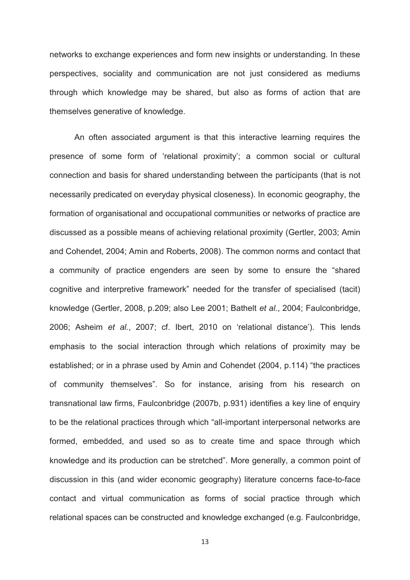networks to exchange experiences and form new insights or understanding. In these perspectives, sociality and communication are not just considered as mediums through which knowledge may be shared, but also as forms of action that are themselves generative of knowledge.

An often associated argument is that this interactive learning requires the presence of some form of 'relational proximity'; a common social or cultural connection and basis for shared understanding between the participants (that is not necessarily predicated on everyday physical closeness). In economic geography, the formation of organisational and occupational communities or networks of practice are discussed as a possible means of achieving relational proximity (Gertler, 2003; Amin and Cohendet, 2004; Amin and Roberts, 2008). The common norms and contact that a community of practice engenders are seen by some to ensure the "shared cognitive and interpretive framework" needed for the transfer of specialised (tacit) knowledge (Gertler, 2008, p.209; also Lee 2001; Bathelt *et al.*, 2004; Faulconbridge, 2006; Asheim *et al.*, 2007; cf. Ibert, 2010 on 'relational distance'). This lends emphasis to the social interaction through which relations of proximity may be established; or in a phrase used by Amin and Cohendet (2004, p.114) "the practices of community themselves". So for instance, arising from his research on transnational law firms, Faulconbridge (2007b, p.931) identifies a key line of enquiry to be the relational practices through which "all-important interpersonal networks are formed, embedded, and used so as to create time and space through which knowledge and its production can be stretched". More generally, a common point of discussion in this (and wider economic geography) literature concerns face-to-face contact and virtual communication as forms of social practice through which relational spaces can be constructed and knowledge exchanged (e.g. Faulconbridge,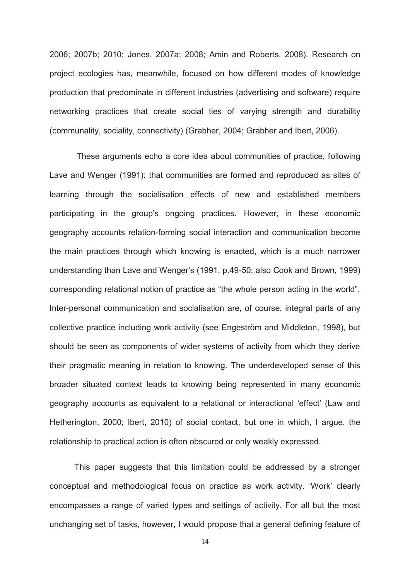2006; 2007b; 2010; Jones, 2007a; 2008; Amin and Roberts, 2008). Research on project ecologies has, meanwhile, focused on how different modes of knowledge production that predominate in different industries (advertising and software) require networking practices that create social ties of varying strength and durability (communality, sociality, connectivity) (Grabher, 2004; Grabher and Ibert, 2006).

 These arguments echo a core idea about communities of practice, following Lave and Wenger (1991): that communities are formed and reproduced as sites of learning through the socialisation effects of new and established members participating in the group's ongoing practices. However, in these economic geography accounts relation-forming social interaction and communication become the main practices through which knowing is enacted, which is a much narrower understanding than Lave and Wenger's (1991, p.49-50; also Cook and Brown, 1999) corresponding relational notion of practice as "the whole person acting in the world". Inter-personal communication and socialisation are, of course, integral parts of any collective practice including work activity (see Engeström and Middleton, 1998), but should be seen as components of wider systems of activity from which they derive their pragmatic meaning in relation to knowing. The underdeveloped sense of this broader situated context leads to knowing being represented in many economic geography accounts as equivalent to a relational or interactional 'effect' (Law and Hetherington, 2000; Ibert, 2010) of social contact, but one in which, I argue, the relationship to practical action is often obscured or only weakly expressed.

This paper suggests that this limitation could be addressed by a stronger conceptual and methodological focus on practice as work activity. 'Work' clearly encompasses a range of varied types and settings of activity. For all but the most unchanging set of tasks, however, I would propose that a general defining feature of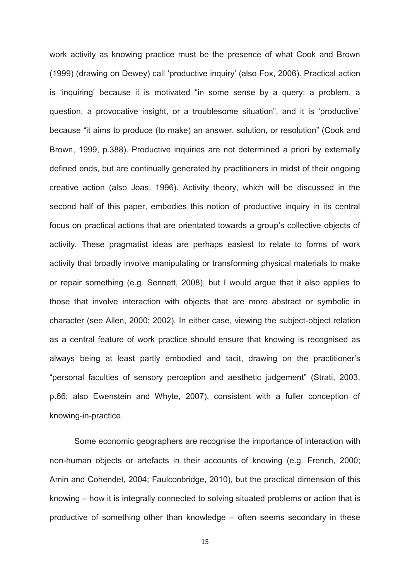work activity as knowing practice must be the presence of what Cook and Brown (1999) (drawing on Dewey) call 'productive inquiry' (also Fox, 2006). Practical action is 'inquiring' because it is motivated "in some sense by a query: a problem, a question, a provocative insight, or a troublesome situation", and it is 'productive' because "it aims to produce (to make) an answer, solution, or resolution" (Cook and Brown, 1999, p.388). Productive inquiries are not determined a priori by externally defined ends, but are continually generated by practitioners in midst of their ongoing creative action (also Joas, 1996). Activity theory, which will be discussed in the second half of this paper, embodies this notion of productive inquiry in its central focus on practical actions that are orientated towards a group's collective objects of activity. These pragmatist ideas are perhaps easiest to relate to forms of work activity that broadly involve manipulating or transforming physical materials to make or repair something (e.g. Sennett, 2008), but I would argue that it also applies to those that involve interaction with objects that are more abstract or symbolic in character (see Allen, 2000; 2002). In either case, viewing the subject-object relation as a central feature of work practice should ensure that knowing is recognised as always being at least partly embodied and tacit, drawing on the practitioner's "personal faculties of sensory perception and aesthetic judgement" (Strati, 2003, p.66; also Ewenstein and Whyte, 2007), consistent with a fuller conception of knowing-in-practice.

Some economic geographers are recognise the importance of interaction with non-human objects or artefacts in their accounts of knowing (e.g. French, 2000; Amin and Cohendet, 2004; Faulconbridge, 2010), but the practical dimension of this knowing – how it is integrally connected to solving situated problems or action that is productive of something other than knowledge – often seems secondary in these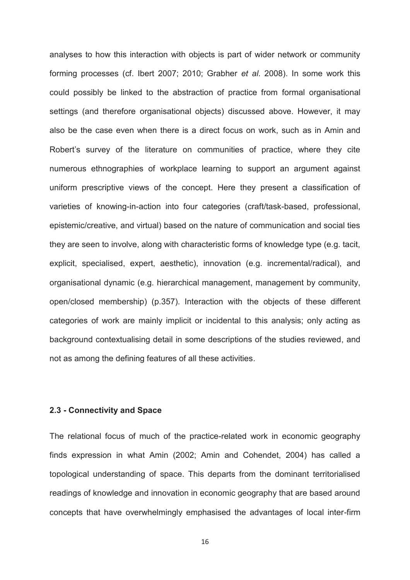analyses to how this interaction with objects is part of wider network or community forming processes (cf. Ibert 2007; 2010; Grabher *et al*. 2008). In some work this could possibly be linked to the abstraction of practice from formal organisational settings (and therefore organisational objects) discussed above. However, it may also be the case even when there is a direct focus on work, such as in Amin and Robert's survey of the literature on communities of practice, where they cite numerous ethnographies of workplace learning to support an argument against uniform prescriptive views of the concept. Here they present a classification of varieties of knowing-in-action into four categories (craft/task-based, professional, epistemic/creative, and virtual) based on the nature of communication and social ties they are seen to involve, along with characteristic forms of knowledge type (e.g. tacit, explicit, specialised, expert, aesthetic), innovation (e.g. incremental/radical), and organisational dynamic (e.g. hierarchical management, management by community, open/closed membership) (p.357). Interaction with the objects of these different categories of work are mainly implicit or incidental to this analysis; only acting as background contextualising detail in some descriptions of the studies reviewed, and not as among the defining features of all these activities.

#### **2.3 - Connectivity and Space**

The relational focus of much of the practice-related work in economic geography finds expression in what Amin (2002; Amin and Cohendet, 2004) has called a topological understanding of space. This departs from the dominant territorialised readings of knowledge and innovation in economic geography that are based around concepts that have overwhelmingly emphasised the advantages of local inter-firm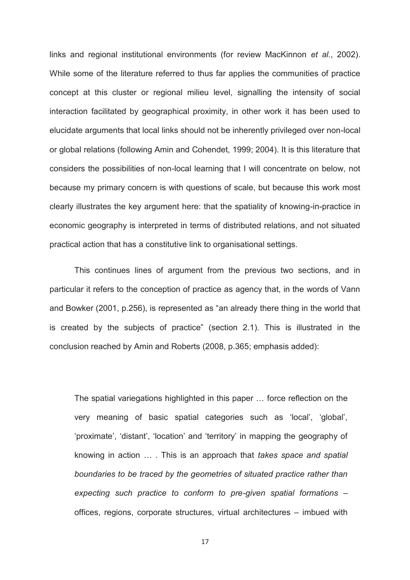links and regional institutional environments (for review MacKinnon *et al.*, 2002). While some of the literature referred to thus far applies the communities of practice concept at this cluster or regional milieu level, signalling the intensity of social interaction facilitated by geographical proximity, in other work it has been used to elucidate arguments that local links should not be inherently privileged over non-local or global relations (following Amin and Cohendet, 1999; 2004). It is this literature that considers the possibilities of non-local learning that I will concentrate on below, not because my primary concern is with questions of scale, but because this work most clearly illustrates the key argument here: that the spatiality of knowing-in-practice in economic geography is interpreted in terms of distributed relations, and not situated practical action that has a constitutive link to organisational settings.

This continues lines of argument from the previous two sections, and in particular it refers to the conception of practice as agency that, in the words of Vann and Bowker (2001, p.256), is represented as "an already there thing in the world that is created by the subjects of practice" (section 2.1). This is illustrated in the conclusion reached by Amin and Roberts (2008, p.365; emphasis added):

The spatial variegations highlighted in this paper … force reflection on the very meaning of basic spatial categories such as 'local', 'global', 'proximate', 'distant', 'location' and 'territory' in mapping the geography of knowing in action … . This is an approach that *takes space and spatial boundaries to be traced by the geometries of situated practice rather than expecting such practice to conform to pre-given spatial formations* – offices, regions, corporate structures, virtual architectures – imbued with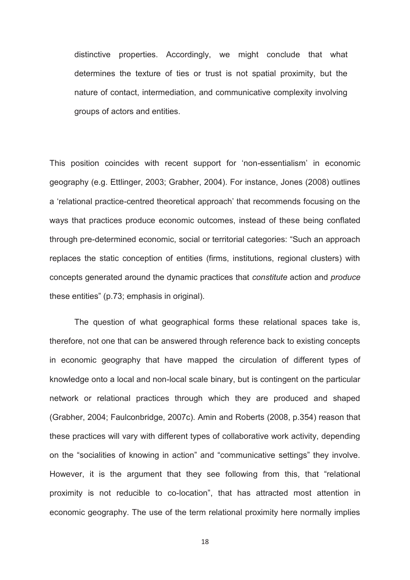distinctive properties. Accordingly, we might conclude that what determines the texture of ties or trust is not spatial proximity, but the nature of contact, intermediation, and communicative complexity involving groups of actors and entities.

This position coincides with recent support for 'non-essentialism' in economic geography (e.g. Ettlinger, 2003; Grabher, 2004). For instance, Jones (2008) outlines a 'relational practice-centred theoretical approach' that recommends focusing on the ways that practices produce economic outcomes, instead of these being conflated through pre-determined economic, social or territorial categories: "Such an approach replaces the static conception of entities (firms, institutions, regional clusters) with concepts generated around the dynamic practices that *constitute* action and *produce* these entities" (p.73; emphasis in original).

The question of what geographical forms these relational spaces take is, therefore, not one that can be answered through reference back to existing concepts in economic geography that have mapped the circulation of different types of knowledge onto a local and non-local scale binary, but is contingent on the particular network or relational practices through which they are produced and shaped (Grabher, 2004; Faulconbridge, 2007c). Amin and Roberts (2008, p.354) reason that these practices will vary with different types of collaborative work activity, depending on the "socialities of knowing in action" and "communicative settings" they involve. However, it is the argument that they see following from this, that "relational proximity is not reducible to co-location", that has attracted most attention in economic geography. The use of the term relational proximity here normally implies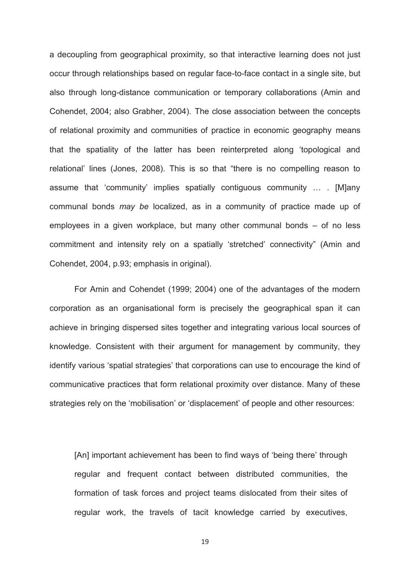a decoupling from geographical proximity, so that interactive learning does not just occur through relationships based on regular face-to-face contact in a single site, but also through long-distance communication or temporary collaborations (Amin and Cohendet, 2004; also Grabher, 2004). The close association between the concepts of relational proximity and communities of practice in economic geography means that the spatiality of the latter has been reinterpreted along 'topological and relational' lines (Jones, 2008). This is so that "there is no compelling reason to assume that 'community' implies spatially contiguous community … . [M]any communal bonds *may be* localized, as in a community of practice made up of employees in a given workplace, but many other communal bonds – of no less commitment and intensity rely on a spatially 'stretched' connectivity" (Amin and Cohendet, 2004, p.93; emphasis in original).

For Amin and Cohendet (1999; 2004) one of the advantages of the modern corporation as an organisational form is precisely the geographical span it can achieve in bringing dispersed sites together and integrating various local sources of knowledge. Consistent with their argument for management by community, they identify various 'spatial strategies' that corporations can use to encourage the kind of communicative practices that form relational proximity over distance. Many of these strategies rely on the 'mobilisation' or 'displacement' of people and other resources:

[An] important achievement has been to find ways of 'being there' through regular and frequent contact between distributed communities, the formation of task forces and project teams dislocated from their sites of regular work, the travels of tacit knowledge carried by executives,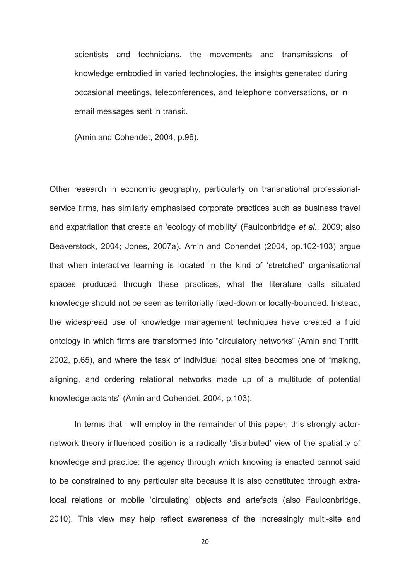scientists and technicians, the movements and transmissions of knowledge embodied in varied technologies, the insights generated during occasional meetings, teleconferences, and telephone conversations, or in email messages sent in transit.

(Amin and Cohendet, 2004, p.96).

Other research in economic geography, particularly on transnational professionalservice firms, has similarly emphasised corporate practices such as business travel and expatriation that create an 'ecology of mobility' (Faulconbridge *et al.*, 2009; also Beaverstock, 2004; Jones, 2007a). Amin and Cohendet (2004, pp.102-103) argue that when interactive learning is located in the kind of 'stretched' organisational spaces produced through these practices, what the literature calls situated knowledge should not be seen as territorially fixed-down or locally-bounded. Instead, the widespread use of knowledge management techniques have created a fluid ontology in which firms are transformed into "circulatory networks" (Amin and Thrift, 2002, p.65), and where the task of individual nodal sites becomes one of "making, aligning, and ordering relational networks made up of a multitude of potential knowledge actants" (Amin and Cohendet, 2004, p.103).

In terms that I will employ in the remainder of this paper, this strongly actornetwork theory influenced position is a radically 'distributed' view of the spatiality of knowledge and practice: the agency through which knowing is enacted cannot said to be constrained to any particular site because it is also constituted through extralocal relations or mobile 'circulating' objects and artefacts (also Faulconbridge, 2010). This view may help reflect awareness of the increasingly multi-site and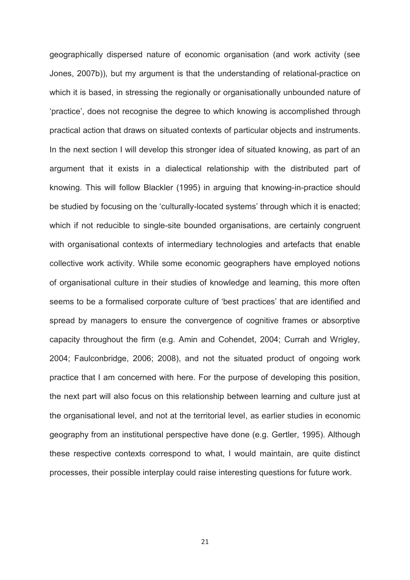geographically dispersed nature of economic organisation (and work activity (see Jones, 2007b)), but my argument is that the understanding of relational-practice on which it is based, in stressing the regionally or organisationally unbounded nature of 'practice', does not recognise the degree to which knowing is accomplished through practical action that draws on situated contexts of particular objects and instruments. In the next section I will develop this stronger idea of situated knowing, as part of an argument that it exists in a dialectical relationship with the distributed part of knowing. This will follow Blackler (1995) in arguing that knowing-in-practice should be studied by focusing on the 'culturally-located systems' through which it is enacted; which if not reducible to single-site bounded organisations, are certainly congruent with organisational contexts of intermediary technologies and artefacts that enable collective work activity. While some economic geographers have employed notions of organisational culture in their studies of knowledge and learning, this more often seems to be a formalised corporate culture of 'best practices' that are identified and spread by managers to ensure the convergence of cognitive frames or absorptive capacity throughout the firm (e.g. Amin and Cohendet, 2004; Currah and Wrigley, 2004; Faulconbridge, 2006; 2008), and not the situated product of ongoing work practice that I am concerned with here. For the purpose of developing this position, the next part will also focus on this relationship between learning and culture just at the organisational level, and not at the territorial level, as earlier studies in economic geography from an institutional perspective have done (e.g. Gertler, 1995). Although these respective contexts correspond to what, I would maintain, are quite distinct processes, their possible interplay could raise interesting questions for future work.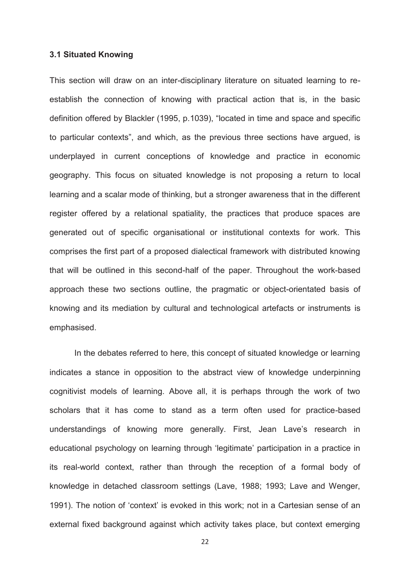#### **3.1 Situated Knowing**

This section will draw on an inter-disciplinary literature on situated learning to reestablish the connection of knowing with practical action that is, in the basic definition offered by Blackler (1995, p.1039), "located in time and space and specific to particular contexts", and which, as the previous three sections have argued, is underplayed in current conceptions of knowledge and practice in economic geography. This focus on situated knowledge is not proposing a return to local learning and a scalar mode of thinking, but a stronger awareness that in the different register offered by a relational spatiality, the practices that produce spaces are generated out of specific organisational or institutional contexts for work. This comprises the first part of a proposed dialectical framework with distributed knowing that will be outlined in this second-half of the paper. Throughout the work-based approach these two sections outline, the pragmatic or object-orientated basis of knowing and its mediation by cultural and technological artefacts or instruments is emphasised.

In the debates referred to here, this concept of situated knowledge or learning indicates a stance in opposition to the abstract view of knowledge underpinning cognitivist models of learning. Above all, it is perhaps through the work of two scholars that it has come to stand as a term often used for practice-based understandings of knowing more generally. First, Jean Lave's research in educational psychology on learning through 'legitimate' participation in a practice in its real-world context, rather than through the reception of a formal body of knowledge in detached classroom settings (Lave, 1988; 1993; Lave and Wenger, 1991). The notion of 'context' is evoked in this work; not in a Cartesian sense of an external fixed background against which activity takes place, but context emerging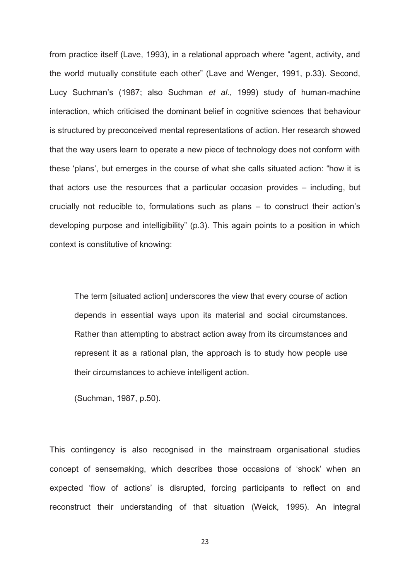from practice itself (Lave, 1993), in a relational approach where "agent, activity, and the world mutually constitute each other" (Lave and Wenger, 1991, p.33). Second, Lucy Suchman's (1987; also Suchman *et al.*, 1999) study of human-machine interaction, which criticised the dominant belief in cognitive sciences that behaviour is structured by preconceived mental representations of action. Her research showed that the way users learn to operate a new piece of technology does not conform with these 'plans', but emerges in the course of what she calls situated action: "how it is that actors use the resources that a particular occasion provides – including, but crucially not reducible to, formulations such as plans – to construct their action's developing purpose and intelligibility" (p.3). This again points to a position in which context is constitutive of knowing:

The term [situated action] underscores the view that every course of action depends in essential ways upon its material and social circumstances. Rather than attempting to abstract action away from its circumstances and represent it as a rational plan, the approach is to study how people use their circumstances to achieve intelligent action.

(Suchman, 1987, p.50).

This contingency is also recognised in the mainstream organisational studies concept of sensemaking, which describes those occasions of 'shock' when an expected 'flow of actions' is disrupted, forcing participants to reflect on and reconstruct their understanding of that situation (Weick, 1995). An integral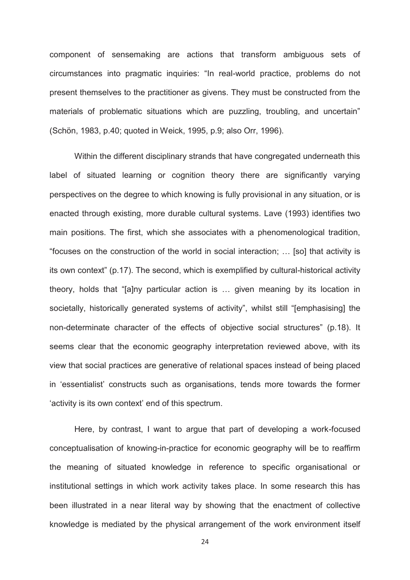component of sensemaking are actions that transform ambiguous sets of circumstances into pragmatic inquiries: "In real-world practice, problems do not present themselves to the practitioner as givens. They must be constructed from the materials of problematic situations which are puzzling, troubling, and uncertain" (Schön, 1983, p.40; quoted in Weick, 1995, p.9; also Orr, 1996).

Within the different disciplinary strands that have congregated underneath this label of situated learning or cognition theory there are significantly varying perspectives on the degree to which knowing is fully provisional in any situation, or is enacted through existing, more durable cultural systems. Lave (1993) identifies two main positions. The first, which she associates with a phenomenological tradition, "focuses on the construction of the world in social interaction; … [so] that activity is its own context" (p.17). The second, which is exemplified by cultural-historical activity theory, holds that "[a]ny particular action is … given meaning by its location in societally, historically generated systems of activity", whilst still "[emphasising] the non-determinate character of the effects of objective social structures" (p.18). It seems clear that the economic geography interpretation reviewed above, with its view that social practices are generative of relational spaces instead of being placed in 'essentialist' constructs such as organisations, tends more towards the former 'activity is its own context' end of this spectrum.

Here, by contrast, I want to argue that part of developing a work-focused conceptualisation of knowing-in-practice for economic geography will be to reaffirm the meaning of situated knowledge in reference to specific organisational or institutional settings in which work activity takes place. In some research this has been illustrated in a near literal way by showing that the enactment of collective knowledge is mediated by the physical arrangement of the work environment itself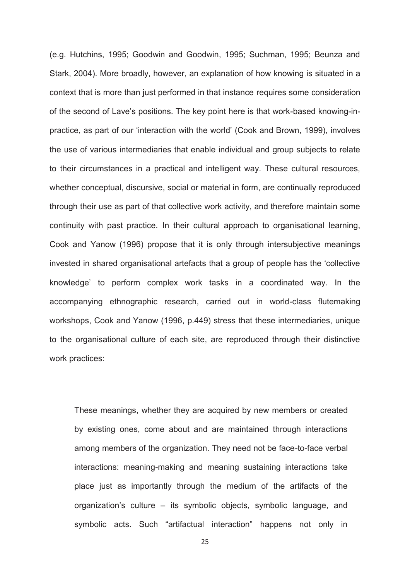(e.g. Hutchins, 1995; Goodwin and Goodwin, 1995; Suchman, 1995; Beunza and Stark, 2004). More broadly, however, an explanation of how knowing is situated in a context that is more than just performed in that instance requires some consideration of the second of Lave's positions. The key point here is that work-based knowing-inpractice, as part of our 'interaction with the world' (Cook and Brown, 1999), involves the use of various intermediaries that enable individual and group subjects to relate to their circumstances in a practical and intelligent way. These cultural resources, whether conceptual, discursive, social or material in form, are continually reproduced through their use as part of that collective work activity, and therefore maintain some continuity with past practice. In their cultural approach to organisational learning, Cook and Yanow (1996) propose that it is only through intersubjective meanings invested in shared organisational artefacts that a group of people has the 'collective knowledge' to perform complex work tasks in a coordinated way. In the accompanying ethnographic research, carried out in world-class flutemaking workshops, Cook and Yanow (1996, p.449) stress that these intermediaries, unique to the organisational culture of each site, are reproduced through their distinctive work practices:

These meanings, whether they are acquired by new members or created by existing ones, come about and are maintained through interactions among members of the organization. They need not be face-to-face verbal interactions: meaning-making and meaning sustaining interactions take place just as importantly through the medium of the artifacts of the organization's culture – its symbolic objects, symbolic language, and symbolic acts. Such "artifactual interaction" happens not only in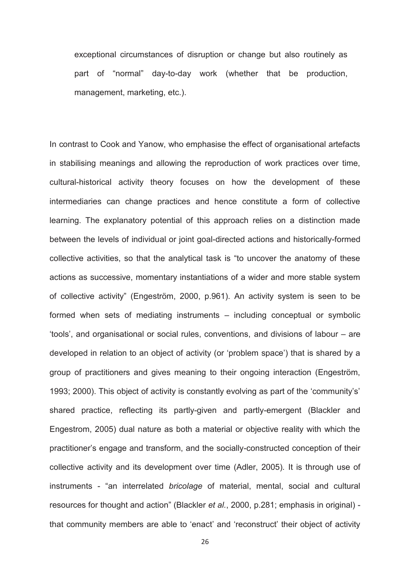exceptional circumstances of disruption or change but also routinely as part of "normal" day-to-day work (whether that be production, management, marketing, etc.).

In contrast to Cook and Yanow, who emphasise the effect of organisational artefacts in stabilising meanings and allowing the reproduction of work practices over time, cultural-historical activity theory focuses on how the development of these intermediaries can change practices and hence constitute a form of collective learning. The explanatory potential of this approach relies on a distinction made between the levels of individual or joint goal-directed actions and historically-formed collective activities, so that the analytical task is "to uncover the anatomy of these actions as successive, momentary instantiations of a wider and more stable system of collective activity" (Engeström, 2000, p.961). An activity system is seen to be formed when sets of mediating instruments – including conceptual or symbolic 'tools', and organisational or social rules, conventions, and divisions of labour – are developed in relation to an object of activity (or 'problem space') that is shared by a group of practitioners and gives meaning to their ongoing interaction (Engeström, 1993; 2000). This object of activity is constantly evolving as part of the 'community's' shared practice, reflecting its partly-given and partly-emergent (Blackler and Engestrom, 2005) dual nature as both a material or objective reality with which the practitioner's engage and transform, and the socially-constructed conception of their collective activity and its development over time (Adler, 2005)*.* It is through use of instruments - "an interrelated *bricolage* of material, mental, social and cultural resources for thought and action" (Blackler *et al.*, 2000, p.281; emphasis in original) that community members are able to 'enact' and 'reconstruct' their object of activity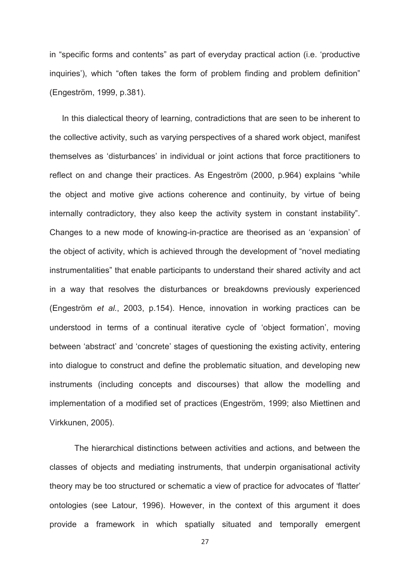in "specific forms and contents" as part of everyday practical action (i.e. 'productive inquiries'), which "often takes the form of problem finding and problem definition" (Engeström, 1999, p.381).

 In this dialectical theory of learning, contradictions that are seen to be inherent to the collective activity, such as varying perspectives of a shared work object, manifest themselves as 'disturbances' in individual or joint actions that force practitioners to reflect on and change their practices. As Engeström (2000, p.964) explains "while the object and motive give actions coherence and continuity, by virtue of being internally contradictory, they also keep the activity system in constant instability". Changes to a new mode of knowing-in-practice are theorised as an 'expansion' of the object of activity, which is achieved through the development of "novel mediating instrumentalities" that enable participants to understand their shared activity and act in a way that resolves the disturbances or breakdowns previously experienced (Engeström *et al.*, 2003, p.154). Hence, innovation in working practices can be understood in terms of a continual iterative cycle of 'object formation', moving between 'abstract' and 'concrete' stages of questioning the existing activity, entering into dialogue to construct and define the problematic situation, and developing new instruments (including concepts and discourses) that allow the modelling and implementation of a modified set of practices (Engeström, 1999; also Miettinen and Virkkunen, 2005).

The hierarchical distinctions between activities and actions, and between the classes of objects and mediating instruments, that underpin organisational activity theory may be too structured or schematic a view of practice for advocates of 'flatter' ontologies (see Latour, 1996). However, in the context of this argument it does provide a framework in which spatially situated and temporally emergent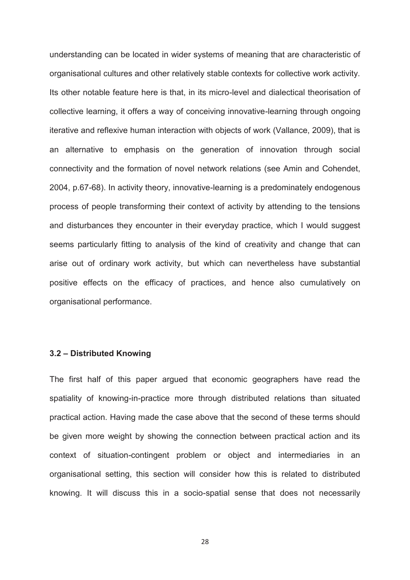understanding can be located in wider systems of meaning that are characteristic of organisational cultures and other relatively stable contexts for collective work activity. Its other notable feature here is that, in its micro-level and dialectical theorisation of collective learning, it offers a way of conceiving innovative-learning through ongoing iterative and reflexive human interaction with objects of work (Vallance, 2009), that is an alternative to emphasis on the generation of innovation through social connectivity and the formation of novel network relations (see Amin and Cohendet, 2004, p.67-68). In activity theory, innovative-learning is a predominately endogenous process of people transforming their context of activity by attending to the tensions and disturbances they encounter in their everyday practice, which I would suggest seems particularly fitting to analysis of the kind of creativity and change that can arise out of ordinary work activity, but which can nevertheless have substantial positive effects on the efficacy of practices, and hence also cumulatively on organisational performance.

#### **3.2 – Distributed Knowing**

The first half of this paper argued that economic geographers have read the spatiality of knowing-in-practice more through distributed relations than situated practical action. Having made the case above that the second of these terms should be given more weight by showing the connection between practical action and its context of situation-contingent problem or object and intermediaries in an organisational setting, this section will consider how this is related to distributed knowing. It will discuss this in a socio-spatial sense that does not necessarily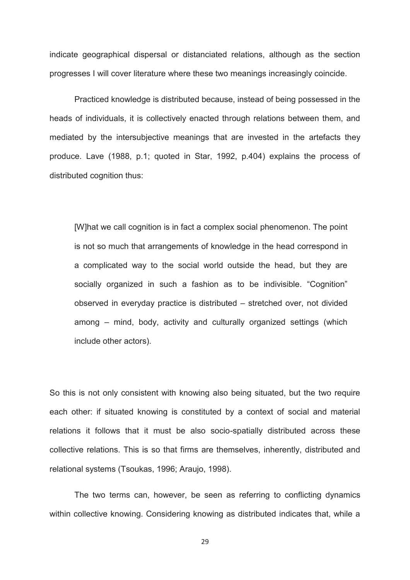indicate geographical dispersal or distanciated relations, although as the section progresses I will cover literature where these two meanings increasingly coincide.

Practiced knowledge is distributed because, instead of being possessed in the heads of individuals, it is collectively enacted through relations between them, and mediated by the intersubjective meanings that are invested in the artefacts they produce. Lave (1988, p.1; quoted in Star, 1992, p.404) explains the process of distributed cognition thus:

[W]hat we call cognition is in fact a complex social phenomenon. The point is not so much that arrangements of knowledge in the head correspond in a complicated way to the social world outside the head, but they are socially organized in such a fashion as to be indivisible. "Cognition" observed in everyday practice is distributed – stretched over, not divided among – mind, body, activity and culturally organized settings (which include other actors).

So this is not only consistent with knowing also being situated, but the two require each other: if situated knowing is constituted by a context of social and material relations it follows that it must be also socio-spatially distributed across these collective relations. This is so that firms are themselves, inherently, distributed and relational systems (Tsoukas, 1996; Araujo, 1998).

The two terms can, however, be seen as referring to conflicting dynamics within collective knowing. Considering knowing as distributed indicates that, while a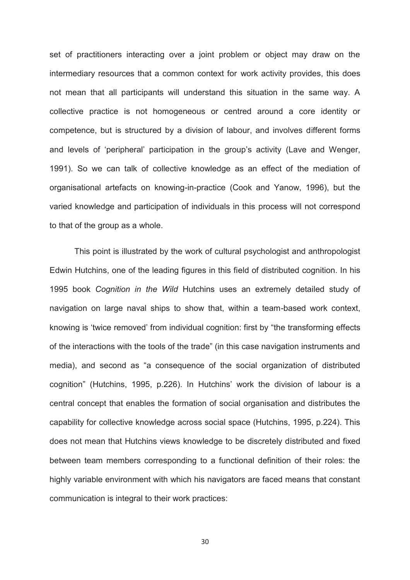set of practitioners interacting over a joint problem or object may draw on the intermediary resources that a common context for work activity provides, this does not mean that all participants will understand this situation in the same way. A collective practice is not homogeneous or centred around a core identity or competence, but is structured by a division of labour, and involves different forms and levels of 'peripheral' participation in the group's activity (Lave and Wenger, 1991). So we can talk of collective knowledge as an effect of the mediation of organisational artefacts on knowing-in-practice (Cook and Yanow, 1996), but the varied knowledge and participation of individuals in this process will not correspond to that of the group as a whole.

This point is illustrated by the work of cultural psychologist and anthropologist Edwin Hutchins, one of the leading figures in this field of distributed cognition. In his 1995 book *Cognition in the Wild* Hutchins uses an extremely detailed study of navigation on large naval ships to show that, within a team-based work context, knowing is 'twice removed' from individual cognition: first by "the transforming effects of the interactions with the tools of the trade" (in this case navigation instruments and media), and second as "a consequence of the social organization of distributed cognition" (Hutchins, 1995, p.226). In Hutchins' work the division of labour is a central concept that enables the formation of social organisation and distributes the capability for collective knowledge across social space (Hutchins, 1995, p.224). This does not mean that Hutchins views knowledge to be discretely distributed and fixed between team members corresponding to a functional definition of their roles: the highly variable environment with which his navigators are faced means that constant communication is integral to their work practices: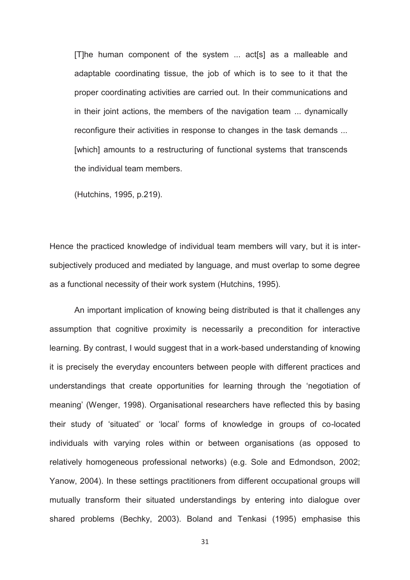[T]he human component of the system ... act[s] as a malleable and adaptable coordinating tissue, the job of which is to see to it that the proper coordinating activities are carried out. In their communications and in their joint actions, the members of the navigation team ... dynamically reconfigure their activities in response to changes in the task demands ... [which] amounts to a restructuring of functional systems that transcends the individual team members.

(Hutchins, 1995, p.219).

Hence the practiced knowledge of individual team members will vary, but it is intersubjectively produced and mediated by language, and must overlap to some degree as a functional necessity of their work system (Hutchins, 1995).

An important implication of knowing being distributed is that it challenges any assumption that cognitive proximity is necessarily a precondition for interactive learning. By contrast, I would suggest that in a work-based understanding of knowing it is precisely the everyday encounters between people with different practices and understandings that create opportunities for learning through the 'negotiation of meaning' (Wenger, 1998). Organisational researchers have reflected this by basing their study of 'situated' or 'local' forms of knowledge in groups of co-located individuals with varying roles within or between organisations (as opposed to relatively homogeneous professional networks) (e.g. Sole and Edmondson, 2002; Yanow, 2004). In these settings practitioners from different occupational groups will mutually transform their situated understandings by entering into dialogue over shared problems (Bechky, 2003). Boland and Tenkasi (1995) emphasise this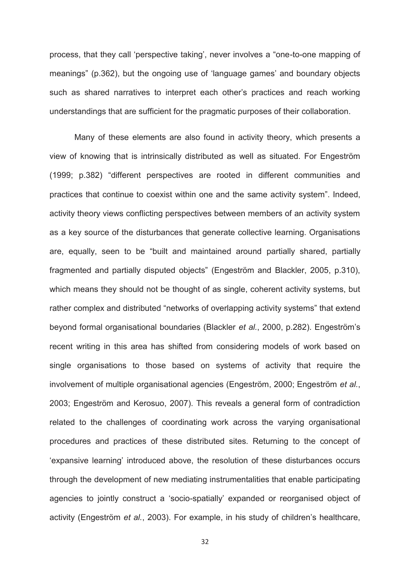process, that they call 'perspective taking', never involves a "one-to-one mapping of meanings" (p.362), but the ongoing use of 'language games' and boundary objects such as shared narratives to interpret each other's practices and reach working understandings that are sufficient for the pragmatic purposes of their collaboration.

Many of these elements are also found in activity theory, which presents a view of knowing that is intrinsically distributed as well as situated. For Engeström (1999; p.382) "different perspectives are rooted in different communities and practices that continue to coexist within one and the same activity system". Indeed, activity theory views conflicting perspectives between members of an activity system as a key source of the disturbances that generate collective learning. Organisations are, equally, seen to be "built and maintained around partially shared, partially fragmented and partially disputed objects" (Engeström and Blackler, 2005, p.310), which means they should not be thought of as single, coherent activity systems, but rather complex and distributed "networks of overlapping activity systems" that extend beyond formal organisational boundaries (Blackler *et al.*, 2000, p.282). Engeström's recent writing in this area has shifted from considering models of work based on single organisations to those based on systems of activity that require the involvement of multiple organisational agencies (Engeström, 2000; Engeström *et al.*, 2003; Engeström and Kerosuo, 2007). This reveals a general form of contradiction related to the challenges of coordinating work across the varying organisational procedures and practices of these distributed sites. Returning to the concept of 'expansive learning' introduced above, the resolution of these disturbances occurs through the development of new mediating instrumentalities that enable participating agencies to jointly construct a 'socio-spatially' expanded or reorganised object of activity (Engeström *et al.*, 2003). For example, in his study of children's healthcare,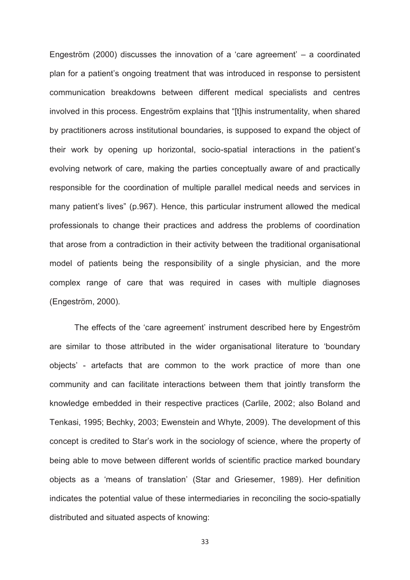Engeström (2000) discusses the innovation of a 'care agreement' – a coordinated plan for a patient's ongoing treatment that was introduced in response to persistent communication breakdowns between different medical specialists and centres involved in this process. Engeström explains that "[t]his instrumentality, when shared by practitioners across institutional boundaries, is supposed to expand the object of their work by opening up horizontal, socio-spatial interactions in the patient's evolving network of care, making the parties conceptually aware of and practically responsible for the coordination of multiple parallel medical needs and services in many patient's lives" (p.967). Hence, this particular instrument allowed the medical professionals to change their practices and address the problems of coordination that arose from a contradiction in their activity between the traditional organisational model of patients being the responsibility of a single physician, and the more complex range of care that was required in cases with multiple diagnoses (Engeström, 2000)*.* 

The effects of the 'care agreement' instrument described here by Engeström are similar to those attributed in the wider organisational literature to 'boundary objects' - artefacts that are common to the work practice of more than one community and can facilitate interactions between them that jointly transform the knowledge embedded in their respective practices (Carlile, 2002; also Boland and Tenkasi, 1995; Bechky, 2003; Ewenstein and Whyte, 2009). The development of this concept is credited to Star's work in the sociology of science, where the property of being able to move between different worlds of scientific practice marked boundary objects as a 'means of translation' (Star and Griesemer, 1989). Her definition indicates the potential value of these intermediaries in reconciling the socio-spatially distributed and situated aspects of knowing: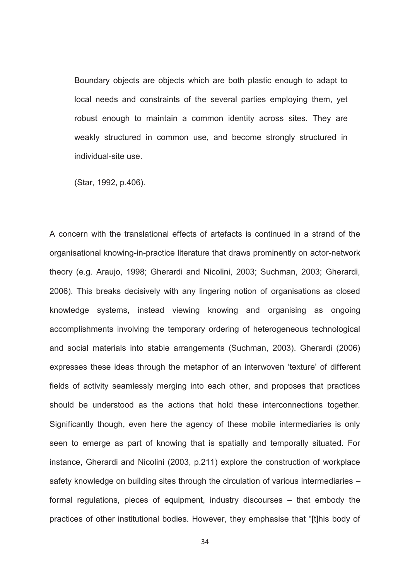Boundary objects are objects which are both plastic enough to adapt to local needs and constraints of the several parties employing them, yet robust enough to maintain a common identity across sites. They are weakly structured in common use, and become strongly structured in individual-site use.

(Star, 1992, p.406).

A concern with the translational effects of artefacts is continued in a strand of the organisational knowing-in-practice literature that draws prominently on actor-network theory (e.g. Araujo, 1998; Gherardi and Nicolini, 2003; Suchman, 2003; Gherardi, 2006). This breaks decisively with any lingering notion of organisations as closed knowledge systems, instead viewing knowing and organising as ongoing accomplishments involving the temporary ordering of heterogeneous technological and social materials into stable arrangements (Suchman, 2003). Gherardi (2006) expresses these ideas through the metaphor of an interwoven 'texture' of different fields of activity seamlessly merging into each other, and proposes that practices should be understood as the actions that hold these interconnections together. Significantly though, even here the agency of these mobile intermediaries is only seen to emerge as part of knowing that is spatially and temporally situated. For instance, Gherardi and Nicolini (2003, p.211) explore the construction of workplace safety knowledge on building sites through the circulation of various intermediaries – formal regulations, pieces of equipment, industry discourses – that embody the practices of other institutional bodies. However, they emphasise that "[t]his body of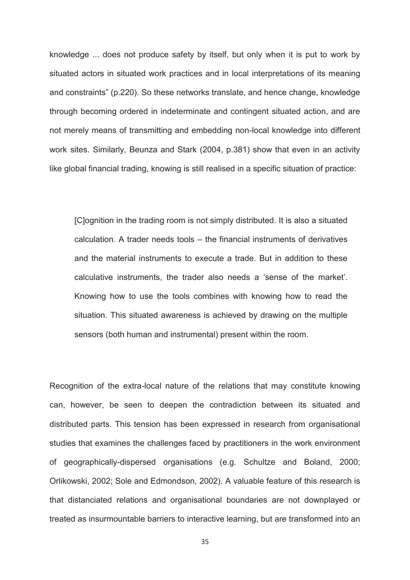knowledge ... does not produce safety by itself, but only when it is put to work by situated actors in situated work practices and in local interpretations of its meaning and constraints" (p.220). So these networks translate, and hence change, knowledge through becoming ordered in indeterminate and contingent situated action, and are not merely means of transmitting and embedding non-local knowledge into different work sites. Similarly, Beunza and Stark (2004, p.381) show that even in an activity like global financial trading, knowing is still realised in a specific situation of practice:

[C]ognition in the trading room is not simply distributed. It is also a situated calculation. A trader needs tools – the financial instruments of derivatives and the material instruments to execute a trade. But in addition to these calculative instruments, the trader also needs a 'sense of the market'. Knowing how to use the tools combines with knowing how to read the situation. This situated awareness is achieved by drawing on the multiple sensors (both human and instrumental) present within the room.

Recognition of the extra-local nature of the relations that may constitute knowing can, however, be seen to deepen the contradiction between its situated and distributed parts. This tension has been expressed in research from organisational studies that examines the challenges faced by practitioners in the work environment of geographically-dispersed organisations (e.g. Schultze and Boland, 2000; Orlikowski, 2002; Sole and Edmondson, 2002). A valuable feature of this research is that distanciated relations and organisational boundaries are not downplayed or treated as insurmountable barriers to interactive learning, but are transformed into an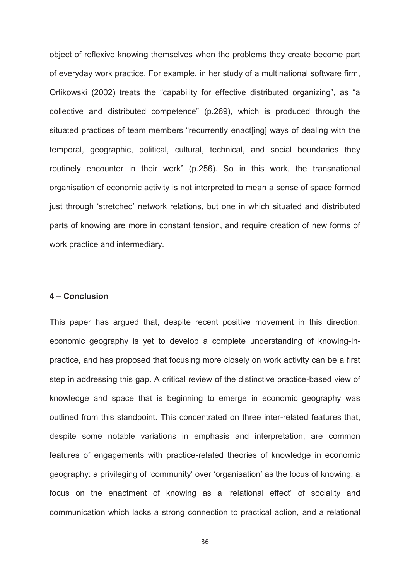object of reflexive knowing themselves when the problems they create become part of everyday work practice. For example, in her study of a multinational software firm, Orlikowski (2002) treats the "capability for effective distributed organizing", as "a collective and distributed competence" (p.269), which is produced through the situated practices of team members "recurrently enact[ing] ways of dealing with the temporal, geographic, political, cultural, technical, and social boundaries they routinely encounter in their work" (p.256). So in this work, the transnational organisation of economic activity is not interpreted to mean a sense of space formed just through 'stretched' network relations, but one in which situated and distributed parts of knowing are more in constant tension, and require creation of new forms of work practice and intermediary.

#### **4 – Conclusion**

This paper has argued that, despite recent positive movement in this direction, economic geography is yet to develop a complete understanding of knowing-inpractice, and has proposed that focusing more closely on work activity can be a first step in addressing this gap. A critical review of the distinctive practice-based view of knowledge and space that is beginning to emerge in economic geography was outlined from this standpoint. This concentrated on three inter-related features that, despite some notable variations in emphasis and interpretation, are common features of engagements with practice-related theories of knowledge in economic geography: a privileging of 'community' over 'organisation' as the locus of knowing, a focus on the enactment of knowing as a 'relational effect' of sociality and communication which lacks a strong connection to practical action, and a relational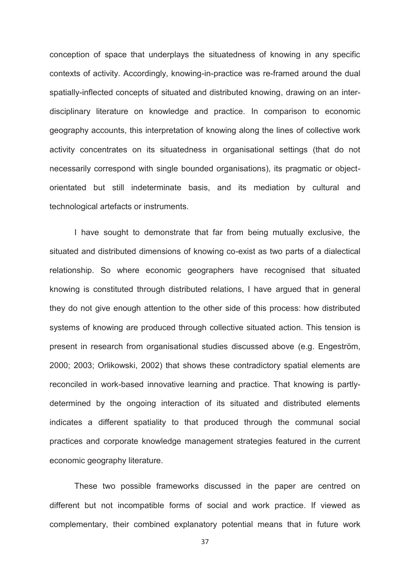conception of space that underplays the situatedness of knowing in any specific contexts of activity. Accordingly, knowing-in-practice was re-framed around the dual spatially-inflected concepts of situated and distributed knowing, drawing on an interdisciplinary literature on knowledge and practice. In comparison to economic geography accounts, this interpretation of knowing along the lines of collective work activity concentrates on its situatedness in organisational settings (that do not necessarily correspond with single bounded organisations), its pragmatic or objectorientated but still indeterminate basis, and its mediation by cultural and technological artefacts or instruments.

I have sought to demonstrate that far from being mutually exclusive, the situated and distributed dimensions of knowing co-exist as two parts of a dialectical relationship. So where economic geographers have recognised that situated knowing is constituted through distributed relations, I have argued that in general they do not give enough attention to the other side of this process: how distributed systems of knowing are produced through collective situated action. This tension is present in research from organisational studies discussed above (e.g. Engeström, 2000; 2003; Orlikowski, 2002) that shows these contradictory spatial elements are reconciled in work-based innovative learning and practice. That knowing is partlydetermined by the ongoing interaction of its situated and distributed elements indicates a different spatiality to that produced through the communal social practices and corporate knowledge management strategies featured in the current economic geography literature.

These two possible frameworks discussed in the paper are centred on different but not incompatible forms of social and work practice. If viewed as complementary, their combined explanatory potential means that in future work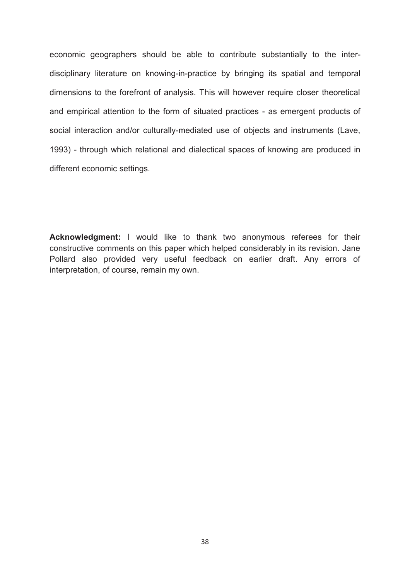economic geographers should be able to contribute substantially to the interdisciplinary literature on knowing-in-practice by bringing its spatial and temporal dimensions to the forefront of analysis. This will however require closer theoretical and empirical attention to the form of situated practices - as emergent products of social interaction and/or culturally-mediated use of objects and instruments (Lave, 1993) - through which relational and dialectical spaces of knowing are produced in different economic settings.

**Acknowledgment:** I would like to thank two anonymous referees for their constructive comments on this paper which helped considerably in its revision. Jane Pollard also provided very useful feedback on earlier draft. Any errors of interpretation, of course, remain my own.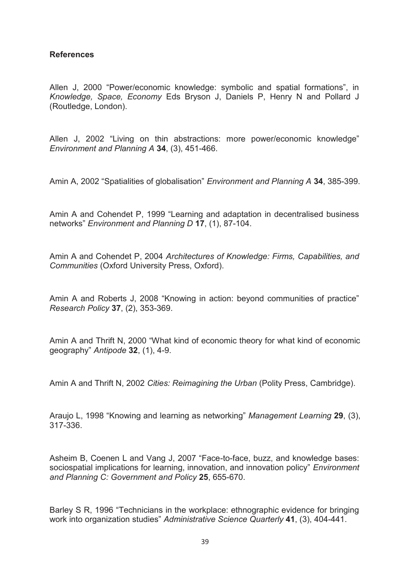#### **References**

Allen J, 2000 "Power/economic knowledge: symbolic and spatial formations", in *Knowledge, Space, Economy* Eds Bryson J, Daniels P, Henry N and Pollard J (Routledge, London).

Allen J, 2002 "Living on thin abstractions: more power/economic knowledge" *Environment and Planning A* **34**, (3), 451-466.

Amin A, 2002 "Spatialities of globalisation" *Environment and Planning A* **34**, 385-399.

Amin A and Cohendet P, 1999 "Learning and adaptation in decentralised business networks" *Environment and Planning D* **17**, (1), 87-104.

Amin A and Cohendet P, 2004 *Architectures of Knowledge: Firms, Capabilities, and Communities* (Oxford University Press, Oxford).

Amin A and Roberts J, 2008 "Knowing in action: beyond communities of practice" *Research Policy* **37**, (2), 353-369.

Amin A and Thrift N, 2000 "What kind of economic theory for what kind of economic geography" *Antipode* **32**, (1), 4-9.

Amin A and Thrift N, 2002 *Cities: Reimagining the Urban* (Polity Press, Cambridge).

Araujo L, 1998 "Knowing and learning as networking" *Management Learning* **29**, (3), 317-336.

Asheim B, Coenen L and Vang J, 2007 "Face-to-face, buzz, and knowledge bases: sociospatial implications for learning, innovation, and innovation policy" *Environment and Planning C: Government and Policy* **25**, 655-670.

Barley S R, 1996 "Technicians in the workplace: ethnographic evidence for bringing work into organization studies" *Administrative Science Quarterly* **41**, (3), 404-441.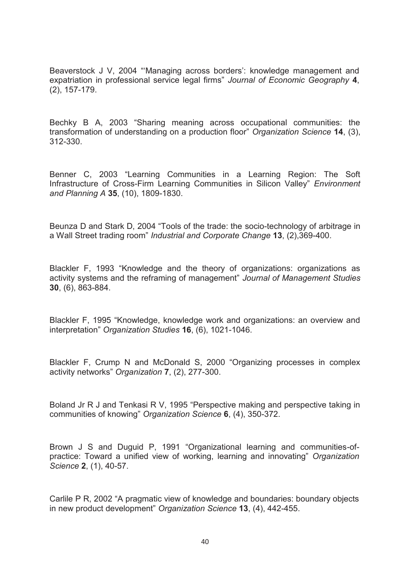Beaverstock J V, 2004 "'Managing across borders': knowledge management and expatriation in professional service legal firms" *Journal of Economic Geography* **4**, (2), 157-179.

Bechky B A, 2003 "Sharing meaning across occupational communities: the transformation of understanding on a production floor" *Organization Science* **14**, (3), 312-330.

Benner C, 2003 "Learning Communities in a Learning Region: The Soft Infrastructure of Cross-Firm Learning Communities in Silicon Valley" *Environment and Planning A* **35**, (10), 1809-1830.

Beunza D and Stark D, 2004 "Tools of the trade: the socio-technology of arbitrage in a Wall Street trading room" *Industrial and Corporate Change* **13**, (2),369-400.

Blackler F, 1993 "Knowledge and the theory of organizations: organizations as activity systems and the reframing of management" *Journal of Management Studies* **30**, (6), 863-884.

Blackler F, 1995 "Knowledge, knowledge work and organizations: an overview and interpretation" *Organization Studies* **16**, (6), 1021-1046.

Blackler F, Crump N and McDonald S, 2000 "Organizing processes in complex activity networks" *Organization* **7**, (2), 277-300.

Boland Jr R J and Tenkasi R V, 1995 "Perspective making and perspective taking in communities of knowing" *Organization Science* **6**, (4), 350-372.

Brown J S and Duguid P, 1991 "Organizational learning and communities-ofpractice: Toward a unified view of working, learning and innovating" *Organization Science* **2**, (1), 40-57.

Carlile P R, 2002 "A pragmatic view of knowledge and boundaries: boundary objects in new product development" *Organization Science* **13**, (4), 442-455.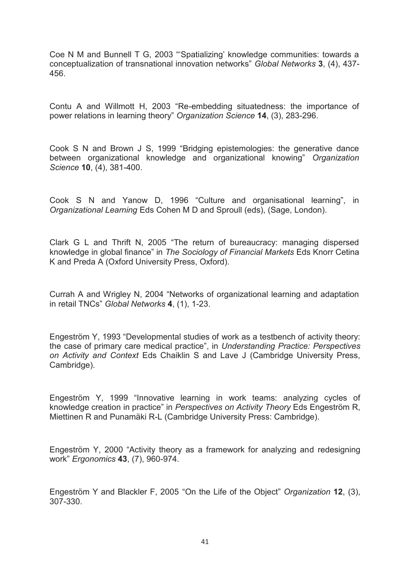Coe N M and Bunnell T G, 2003 "'Spatializing' knowledge communities: towards a conceptualization of transnational innovation networks" *Global Networks* **3**, (4), 437- 456.

Contu A and Willmott H, 2003 "Re-embedding situatedness: the importance of power relations in learning theory" *Organization Science* **14**, (3), 283-296.

Cook S N and Brown J S, 1999 "Bridging epistemologies: the generative dance between organizational knowledge and organizational knowing" *Organization Science* **10**, (4), 381-400.

Cook S N and Yanow D, 1996 "Culture and organisational learning", in *Organizational Learning* Eds Cohen M D and Sproull (eds), (Sage, London).

Clark G L and Thrift N, 2005 "The return of bureaucracy: managing dispersed knowledge in global finance" in *The Sociology of Financial Markets* Eds Knorr Cetina K and Preda A (Oxford University Press, Oxford).

Currah A and Wrigley N, 2004 "Networks of organizational learning and adaptation in retail TNCs" *Global Networks* **4**, (1), 1-23.

Engeström Y, 1993 "Developmental studies of work as a testbench of activity theory: the case of primary care medical practice", in *Understanding Practice: Perspectives on Activity and Context* Eds Chaiklin S and Lave J (Cambridge University Press, Cambridge).

Engeström Y, 1999 "Innovative learning in work teams: analyzing cycles of knowledge creation in practice" in *Perspectives on Activity Theory* Eds Engeström R, Miettinen R and Punamäki R-L (Cambridge University Press: Cambridge).

Engeström Y, 2000 "Activity theory as a framework for analyzing and redesigning work" *Ergonomics* **43**, (7), 960-974.

Engeström Y and Blackler F, 2005 "On the Life of the Object" *Organization* **12**, (3), 307-330.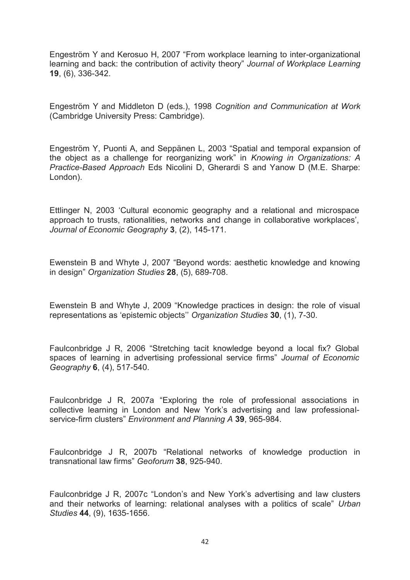Engeström Y and Kerosuo H, 2007 "From workplace learning to inter-organizational learning and back: the contribution of activity theory" *Journal of Workplace Learning* **19**, (6), 336-342.

Engeström Y and Middleton D (eds.), 1998 *Cognition and Communication at Work* (Cambridge University Press: Cambridge).

Engeström Y, Puonti A, and Seppänen L, 2003 "Spatial and temporal expansion of the object as a challenge for reorganizing work" in *Knowing in Organizations: A Practice-Based Approach* Eds Nicolini D, Gherardi S and Yanow D (M.E. Sharpe: London).

Ettlinger N, 2003 'Cultural economic geography and a relational and microspace approach to trusts, rationalities, networks and change in collaborative workplaces', *Journal of Economic Geography* **3**, (2), 145-171.

Ewenstein B and Whyte J, 2007 "Beyond words: aesthetic knowledge and knowing in design" *Organization Studies* **28**, (5), 689-708.

Ewenstein B and Whyte J, 2009 "Knowledge practices in design: the role of visual representations as 'epistemic objects'' *Organization Studies* **30**, (1), 7-30.

Faulconbridge J R, 2006 "Stretching tacit knowledge beyond a local fix? Global spaces of learning in advertising professional service firms" *Journal of Economic Geography* **6**, (4), 517-540.

Faulconbridge J R, 2007a "Exploring the role of professional associations in collective learning in London and New York's advertising and law professionalservice-firm clusters" *Environment and Planning A* **39**, 965-984.

Faulconbridge J R, 2007b "Relational networks of knowledge production in transnational law firms" *Geoforum* **38**, 925-940.

Faulconbridge J R, 2007c "London's and New York's advertising and law clusters and their networks of learning: relational analyses with a politics of scale" *Urban Studies* **44**, (9), 1635-1656.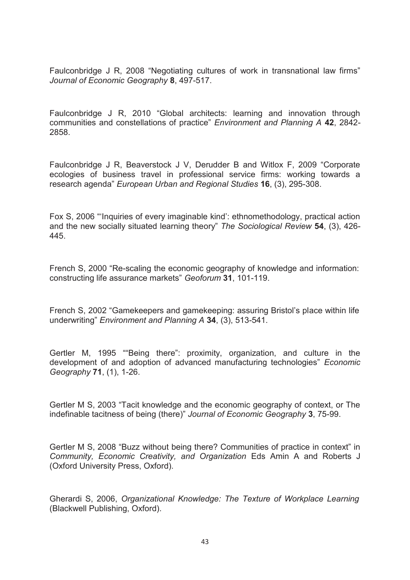Faulconbridge J R, 2008 "Negotiating cultures of work in transnational law firms" *Journal of Economic Geography* **8**, 497-517.

Faulconbridge J R, 2010 "Global architects: learning and innovation through communities and constellations of practice" *Environment and Planning A* **42**, 2842- 2858.

Faulconbridge J R, Beaverstock J V, Derudder B and Witlox F, 2009 "Corporate ecologies of business travel in professional service firms: working towards a research agenda" *European Urban and Regional Studies* **16**, (3), 295-308.

Fox S, 2006 "'Inquiries of every imaginable kind': ethnomethodology, practical action and the new socially situated learning theory" *The Sociological Review* **54**, (3), 426- 445.

French S, 2000 "Re-scaling the economic geography of knowledge and information: constructing life assurance markets" *Geoforum* **31**, 101-119.

French S, 2002 "Gamekeepers and gamekeeping: assuring Bristol's place within life underwriting" *Environment and Planning A* **34**, (3), 513-541.

Gertler M, 1995 ""Being there": proximity, organization, and culture in the development of and adoption of advanced manufacturing technologies" *Economic Geography* **71**, (1), 1-26.

Gertler M S, 2003 "Tacit knowledge and the economic geography of context, or The indefinable tacitness of being (there)" *Journal of Economic Geography* **3**, 75-99.

Gertler M S, 2008 "Buzz without being there? Communities of practice in context" in *Community, Economic Creativity, and Organization* Eds Amin A and Roberts J (Oxford University Press, Oxford).

Gherardi S, 2006, *Organizational Knowledge: The Texture of Workplace Learning* (Blackwell Publishing, Oxford).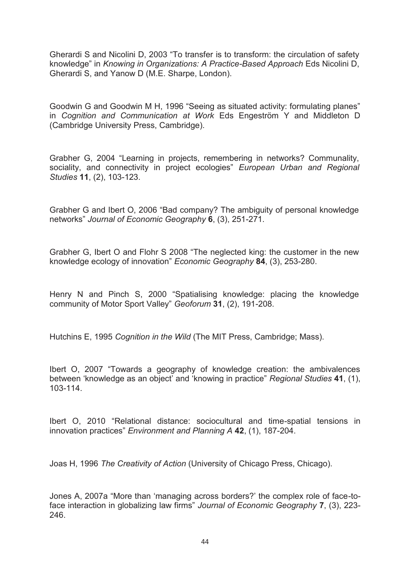Gherardi S and Nicolini D, 2003 "To transfer is to transform: the circulation of safety knowledge" in *Knowing in Organizations: A Practice-Based Approach* Eds Nicolini D, Gherardi S, and Yanow D (M.E. Sharpe, London).

Goodwin G and Goodwin M H, 1996 "Seeing as situated activity: formulating planes" in *Cognition and Communication at Work* Eds Engeström Y and Middleton D (Cambridge University Press, Cambridge).

Grabher G, 2004 "Learning in projects, remembering in networks? Communality, sociality, and connectivity in project ecologies" *European Urban and Regional Studies* **11**, (2), 103-123.

Grabher G and Ibert O, 2006 "Bad company? The ambiguity of personal knowledge networks" *Journal of Economic Geography* **6**, (3), 251-271.

Grabher G, Ibert O and Flohr S 2008 "The neglected king: the customer in the new knowledge ecology of innovation" *Economic Geography* **84**, (3), 253-280.

Henry N and Pinch S, 2000 "Spatialising knowledge: placing the knowledge community of Motor Sport Valley" *Geoforum* **31**, (2), 191-208.

Hutchins E, 1995 *Cognition in the Wild* (The MIT Press, Cambridge; Mass).

Ibert O, 2007 "Towards a geography of knowledge creation: the ambivalences between 'knowledge as an object' and 'knowing in practice" *Regional Studies* **41**, (1), 103-114.

Ibert O, 2010 "Relational distance: sociocultural and time-spatial tensions in innovation practices" *Environment and Planning A* **42**, (1), 187-204.

Joas H, 1996 *The Creativity of Action* (University of Chicago Press, Chicago).

Jones A, 2007a "More than 'managing across borders?' the complex role of face-toface interaction in globalizing law firms" *Journal of Economic Geography* **7**, (3), 223- 246.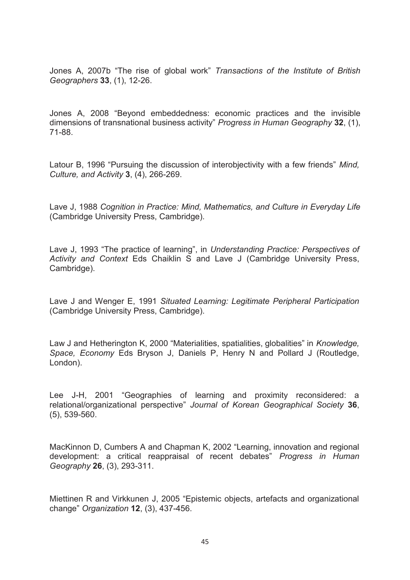Jones A, 2007b "The rise of global work" *Transactions of the Institute of British Geographers* **33**, (1), 12-26.

Jones A, 2008 "Beyond embeddedness: economic practices and the invisible dimensions of transnational business activity" *Progress in Human Geography* **32**, (1), 71-88.

Latour B, 1996 "Pursuing the discussion of interobjectivity with a few friends" *Mind, Culture, and Activity* **3**, (4), 266-269.

Lave J, 1988 *Cognition in Practice: Mind, Mathematics, and Culture in Everyday Life* (Cambridge University Press, Cambridge).

Lave J, 1993 "The practice of learning", in *Understanding Practice: Perspectives of Activity and Context* Eds Chaiklin S and Lave J (Cambridge University Press, Cambridge).

Lave J and Wenger E, 1991 *Situated Learning: Legitimate Peripheral Participation* (Cambridge University Press, Cambridge).

Law J and Hetherington K, 2000 "Materialities, spatialities, globalities" in *Knowledge, Space, Economy* Eds Bryson J, Daniels P, Henry N and Pollard J (Routledge, London).

Lee J-H, 2001 "Geographies of learning and proximity reconsidered: a relational/organizational perspective" *Journal of Korean Geographical Society* **36**, (5), 539-560.

MacKinnon D, Cumbers A and Chapman K, 2002 "Learning, innovation and regional development: a critical reappraisal of recent debates" *Progress in Human Geography* **26**, (3), 293-311.

Miettinen R and Virkkunen J, 2005 "Epistemic objects, artefacts and organizational change" *Organization* **12**, (3), 437-456.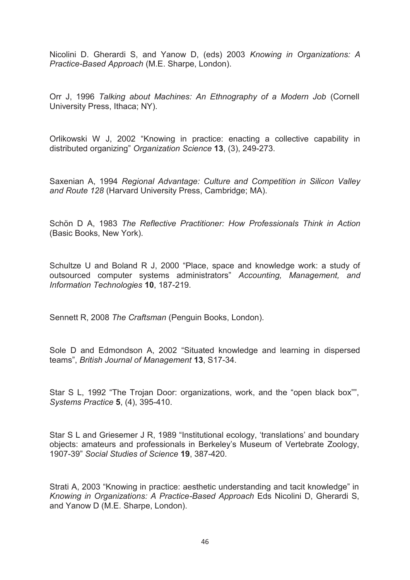Nicolini D. Gherardi S, and Yanow D, (eds) 2003 *Knowing in Organizations: A Practice-Based Approach* (M.E. Sharpe, London).

Orr J, 1996 *Talking about Machines: An Ethnography of a Modern Job* (Cornell University Press, Ithaca; NY).

Orlikowski W J, 2002 "Knowing in practice: enacting a collective capability in distributed organizing" *Organization Science* **13**, (3), 249-273.

Saxenian A, 1994 *Regional Advantage: Culture and Competition in Silicon Valley and Route 128* (Harvard University Press, Cambridge; MA).

Schön D A, 1983 *The Reflective Practitioner: How Professionals Think in Action* (Basic Books, New York).

Schultze U and Boland R J, 2000 "Place, space and knowledge work: a study of outsourced computer systems administrators" *Accounting, Management, and Information Technologies* **10**, 187-219.

Sennett R, 2008 *The Craftsman* (Penguin Books, London).

Sole D and Edmondson A, 2002 "Situated knowledge and learning in dispersed teams", *British Journal of Management* **13**, S17-34.

Star S L, 1992 "The Trojan Door: organizations, work, and the "open black box"", *Systems Practice* **5**, (4), 395-410.

Star S L and Griesemer J R, 1989 "Institutional ecology, 'translations' and boundary objects: amateurs and professionals in Berkeley's Museum of Vertebrate Zoology, 1907-39" *Social Studies of Science* **19**, 387-420.

Strati A, 2003 "Knowing in practice: aesthetic understanding and tacit knowledge" in *Knowing in Organizations: A Practice-Based Approach* Eds Nicolini D, Gherardi S, and Yanow D (M.E. Sharpe, London).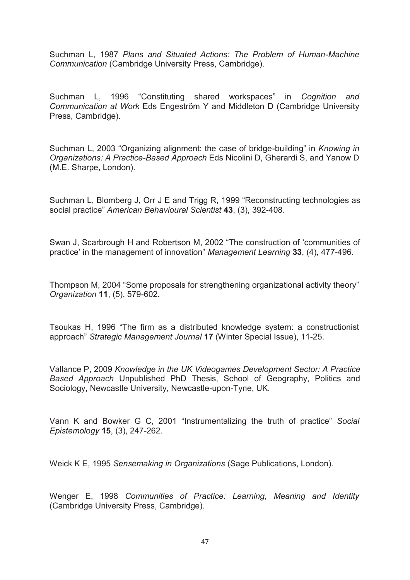Suchman L, 1987 *Plans and Situated Actions: The Problem of Human-Machine Communication* (Cambridge University Press, Cambridge).

Suchman L, 1996 "Constituting shared workspaces" in *Cognition and Communication at Work* Eds Engeström Y and Middleton D (Cambridge University Press, Cambridge).

Suchman L, 2003 "Organizing alignment: the case of bridge-building" in *Knowing in Organizations: A Practice-Based Approach* Eds Nicolini D, Gherardi S, and Yanow D (M.E. Sharpe, London).

Suchman L, Blomberg J, Orr J E and Trigg R, 1999 "Reconstructing technologies as social practice" *American Behavioural Scientist* **43**, (3), 392-408.

Swan J, Scarbrough H and Robertson M, 2002 "The construction of 'communities of practice' in the management of innovation" *Management Learning* **33**, (4), 477-496.

Thompson M, 2004 "Some proposals for strengthening organizational activity theory" *Organization* **11**, (5), 579-602.

Tsoukas H, 1996 "The firm as a distributed knowledge system: a constructionist approach" *Strategic Management Journal* **17** (Winter Special Issue), 11-25.

Vallance P, 2009 *Knowledge in the UK Videogames Development Sector: A Practice Based Approach* Unpublished PhD Thesis, School of Geography, Politics and Sociology, Newcastle University, Newcastle-upon-Tyne, UK.

Vann K and Bowker G C, 2001 "Instrumentalizing the truth of practice" *Social Epistemology* **15**, (3), 247-262.

Weick K E, 1995 *Sensemaking in Organizations* (Sage Publications, London).

Wenger E, 1998 *Communities of Practice: Learning, Meaning and Identity* (Cambridge University Press, Cambridge).